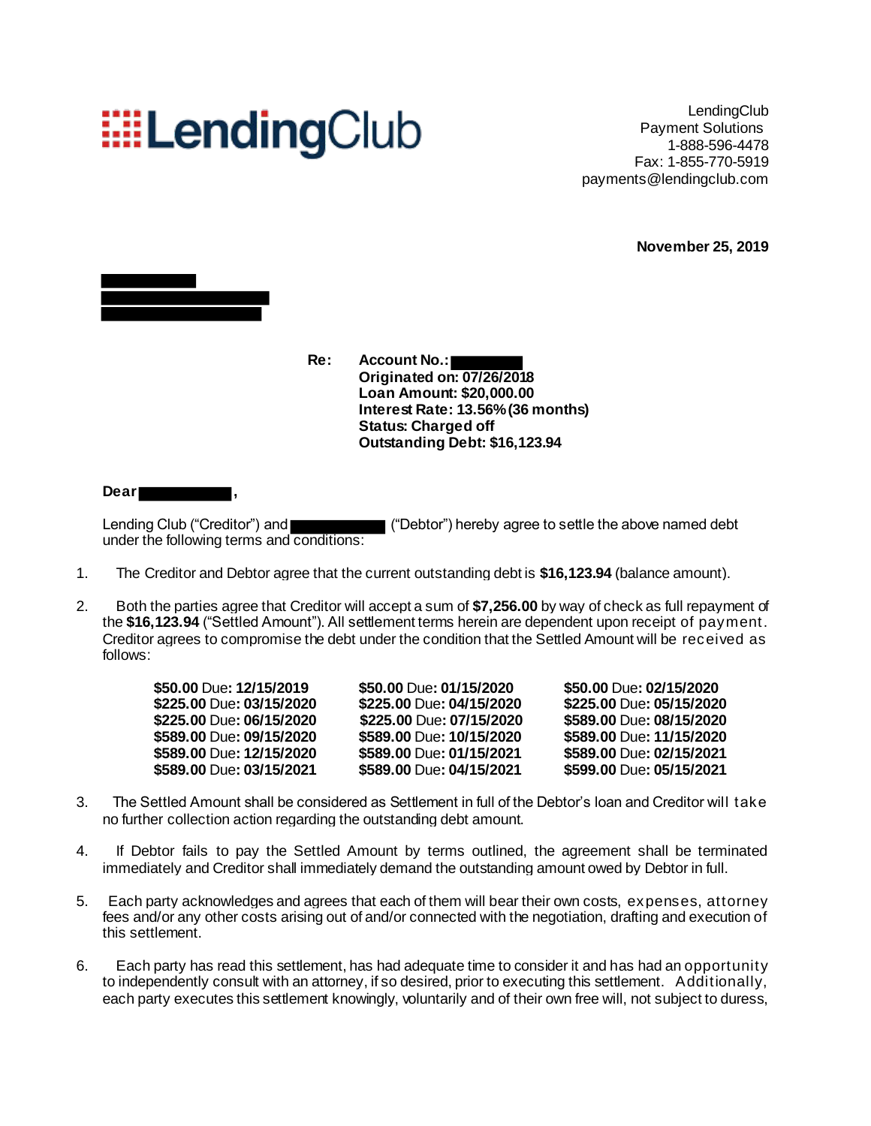## **EELendingClub**

LendingClub Payment Solutions 1-888-596-4478 Fax: 1-855-770-5919 payments@lendingclub.com

**November 25, 2019**



**Re: Account No.: Originated on: 07/26/2018 Loan Amount: \$20,000.00 Interest Rate: 13.56%(36 months) Status: Charged off Outstanding Debt: \$16,123.94**

**Dear ,**

Lending Club ("Creditor") and ("Debtor") hereby agree to settle the above named debt under the following terms and conditions:

- 1. The Creditor and Debtor agree that the current outstanding debt is **\$16,123.94** (balance amount).
- 2. Both the parties agree that Creditor will accept a sum of **\$7,256.00** by way of check as full repayment of the **\$16,123.94** ("Settled Amount"). All settlement terms herein are dependent upon receipt of payment. Creditor agrees to compromise the debt under the condition that the Settled Amount will be received as follows:

| \$50.00 Due: 12/15/2019                              | \$50.00 Due: 01/15/2020                              | \$50.00 Due: 02/15/2020                              |
|------------------------------------------------------|------------------------------------------------------|------------------------------------------------------|
| \$225.00 Due: 03/15/2020                             | \$225.00 Due: 04/15/2020                             | \$225.00 Due: 05/15/2020                             |
| \$225.00 Due: 06/15/2020<br>\$589.00 Due: 09/15/2020 | \$225.00 Due: 07/15/2020<br>\$589.00 Due: 10/15/2020 | \$589.00 Due: 08/15/2020<br>\$589.00 Due: 11/15/2020 |
|                                                      |                                                      |                                                      |
| \$589.00 Due: 03/15/2021                             | \$589.00 Due: 04/15/2021                             | \$599.00 Due: 05/15/2021                             |

- 3. The Settled Amount shall be considered as Settlement in full of the Debtor's loan and Creditor will take no further collection action regarding the outstanding debt amount.
- 4. If Debtor fails to pay the Settled Amount by terms outlined, the agreement shall be terminated immediately and Creditor shall immediately demand the outstanding amount owed by Debtor in full.
- 5. Each party acknowledges and agrees that each of them will bear their own costs, expenses, attorney fees and/or any other costs arising out of and/or connected with the negotiation, drafting and execution of this settlement.
- 6. Each party has read this settlement, has had adequate time to consider it and has had an opportunity to independently consult with an attorney, if so desired, prior to executing this settlement. Additionally, each party executes this settlement knowingly, voluntarily and of their own free will, not subject to duress,